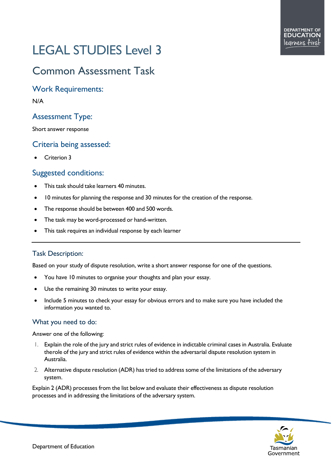# LEGAL STUDIES Level 3

# Common Assessment Task

Work Requirements:

N/A

# Assessment Type:

Short answer response

## Criteria being assessed:

• Criterion 3

### Suggested conditions:

- This task should take learners 40 minutes.
- 10 minutes for planning the response and 30 minutes for the creation of the response.
- The response should be between 400 and 500 words.
- The task may be word-processed or hand-written.
- This task requires an individual response by each learner

#### Task Description:

Based on your study of dispute resolution, write a short answer response for one of the questions.

- You have 10 minutes to organise your thoughts and plan your essay.
- Use the remaining 30 minutes to write your essay.
- Include 5 minutes to check your essay for obvious errors and to make sure you have included the information you wanted to.

#### What you need to do:

Answer one of the following:

- 1. Explain the role of the jury and strict rules of evidence in indictable criminal cases in Australia. Evaluate therole of the jury and strict rules of evidence within the adversarial dispute resolution system in Australia.
- 2. Alternative dispute resolution (ADR) has tried to address some of the limitations of the adversary system.

Explain 2 (ADR) processes from the list below and evaluate their effectiveness as dispute resolution processes and in addressing the limitations of the adversary system.